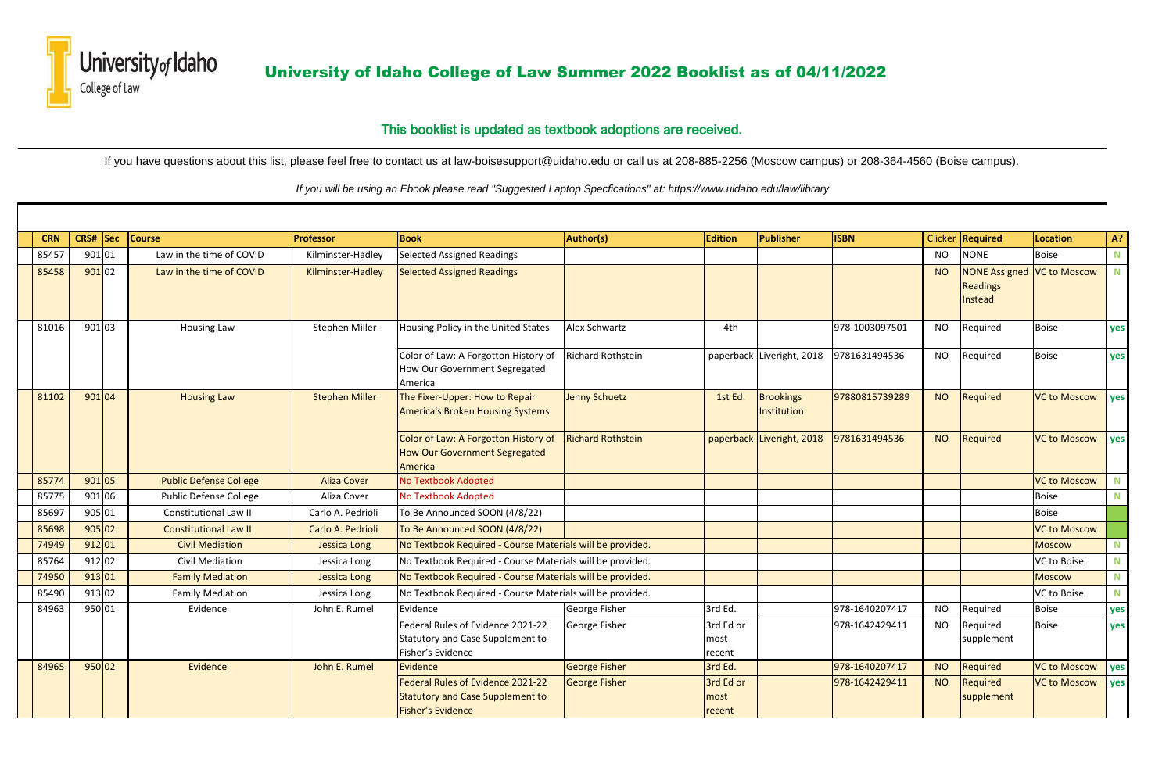

University of Idaho University of Idaho College of Law Summer 2022 Booklist as of 04/11/2022

| <b>CRN</b> | CRS#                | <sub>sec</sub> | <b>Course</b>                 | Professor             | <b>Book</b>                                                                                       | <b>Author(s)</b>         | <b>Edition</b>              | Publisher                 | <b>ISBN</b>    | <b>Clicker</b> | Required                                                   | <b>Location</b>     | A?          |
|------------|---------------------|----------------|-------------------------------|-----------------------|---------------------------------------------------------------------------------------------------|--------------------------|-----------------------------|---------------------------|----------------|----------------|------------------------------------------------------------|---------------------|-------------|
| 85457      | 901 01              |                | Law in the time of COVID      | Kilminster-Hadley     | <b>Selected Assigned Readings</b>                                                                 |                          |                             |                           |                | <b>NO</b>      | <b>NONE</b>                                                | <b>Boise</b>        | $\mathbf N$ |
| 85458      | 90102               |                | Law in the time of COVID      | Kilminster-Hadley     | <b>Selected Assigned Readings</b>                                                                 |                          |                             |                           |                | <b>NO</b>      | NONE Assigned   VC to Moscow<br><b>Readings</b><br>Instead |                     | N           |
| 81016      | 901 03              |                | <b>Housing Law</b>            | Stephen Miller        | Housing Policy in the United States                                                               | Alex Schwartz            | 4th                         |                           | 978-1003097501 | <b>NO</b>      | Required                                                   | <b>Boise</b>        | yes         |
|            |                     |                |                               |                       | Color of Law: A Forgotton History of<br>How Our Government Segregated<br>America                  | <b>Richard Rothstein</b> |                             | paperback Liveright, 2018 | 9781631494536  | <b>NO</b>      | Required                                                   | <b>Boise</b>        | yes         |
| 81102      | 901 04              |                | <b>Housing Law</b>            | <b>Stephen Miller</b> | The Fixer-Upper: How to Repair<br><b>America's Broken Housing Systems</b>                         | <b>Jenny Schuetz</b>     | 1st Ed.                     | Brookings<br>Institution  | 97880815739289 | <b>NO</b>      | <b>Required</b>                                            | <b>VC to Moscow</b> | yes         |
|            |                     |                |                               |                       | Color of Law: A Forgotton History of<br><b>How Our Government Segregated</b><br>America           | <b>Richard Rothstein</b> |                             | paperback Liveright, 2018 | 9781631494536  | <b>NO</b>      | <b>Required</b>                                            | <b>VC to Moscow</b> | <b>yes</b>  |
| 85774      | 901 05              |                | <b>Public Defense College</b> | <b>Aliza Cover</b>    | No Textbook Adopted                                                                               |                          |                             |                           |                |                |                                                            | <b>VC to Moscow</b> | $\mathbf N$ |
| 85775      | 901 06              |                | <b>Public Defense College</b> | Aliza Cover           | <b>No Textbook Adopted</b>                                                                        |                          |                             |                           |                |                |                                                            | <b>Boise</b>        | N           |
| 85697      | 905 01              |                | <b>Constitutional Law II</b>  | Carlo A. Pedrioli     | To Be Announced SOON (4/8/22)                                                                     |                          |                             |                           |                |                |                                                            | <b>Boise</b>        |             |
| 85698      | 905 02              |                | <b>Constitutional Law II</b>  | Carlo A. Pedrioli     | To Be Announced SOON (4/8/22)                                                                     |                          |                             |                           |                |                |                                                            | <b>VC to Moscow</b> |             |
| 74949      | 912 01              |                | <b>Civil Mediation</b>        | <b>Jessica Long</b>   | No Textbook Required - Course Materials will be provided.                                         |                          |                             |                           |                |                |                                                            | <b>Moscow</b>       | $\mathbf N$ |
| 85764      | 912 02              |                | <b>Civil Mediation</b>        | Jessica Long          | No Textbook Required - Course Materials will be provided.                                         |                          |                             |                           |                |                |                                                            | VC to Boise         | ${\bf N}$   |
| 74950      | 913 01              |                | <b>Family Mediation</b>       | <b>Jessica Long</b>   | No Textbook Required - Course Materials will be provided.                                         |                          |                             |                           |                |                |                                                            | <b>Moscow</b>       | ${\bf N}$   |
| 85490      | $\frac{1}{9}$ 13 02 |                | <b>Family Mediation</b>       | Jessica Long          | No Textbook Required - Course Materials will be provided.                                         |                          |                             |                           |                |                |                                                            | VC to Boise         | ${\bf N}$   |
| 84963      | 950 01              |                | Evidence                      | John E. Rumel         | Evidence                                                                                          | George Fisher            | 3rd Ed.                     |                           | 978-1640207417 | <b>NO</b>      | Required                                                   | <b>Boise</b>        | yes         |
|            |                     |                |                               |                       | Federal Rules of Evidence 2021-22<br>Statutory and Case Supplement to<br>Fisher's Evidence        | <b>George Fisher</b>     | 3rd Ed or<br>most<br>recent |                           | 978-1642429411 | <b>NO</b>      | Required<br>supplement                                     | <b>Boise</b>        | yes         |
| 84965      | 950 02              |                | Evidence                      | John E. Rumel         | Evidence                                                                                          | <b>George Fisher</b>     | 3rd Ed.                     |                           | 978-1640207417 | <b>NO</b>      | Required                                                   | <b>VC to Moscow</b> | yes         |
|            |                     |                |                               |                       | Federal Rules of Evidence 2021-22<br><b>Statutory and Case Supplement to</b><br>Fisher's Evidence | <b>George Fisher</b>     | 3rd Ed or<br>most<br>recent |                           | 978-1642429411 | <b>NO</b>      | <b>Required</b><br>supplement                              | <b>VC to Moscow</b> | yes         |



 *If you will be using an Ebook please read "Suggested Laptop Specfications" at: https://www.uidaho.edu/law/library*

If you have questions about this list, please feel free to contact us at law-boisesupport@uidaho.edu or call us at 208-885-2256 (Moscow campus) or 208-364-4560 (Boise campus).

## This booklist is updated as textbook adoptions are received.